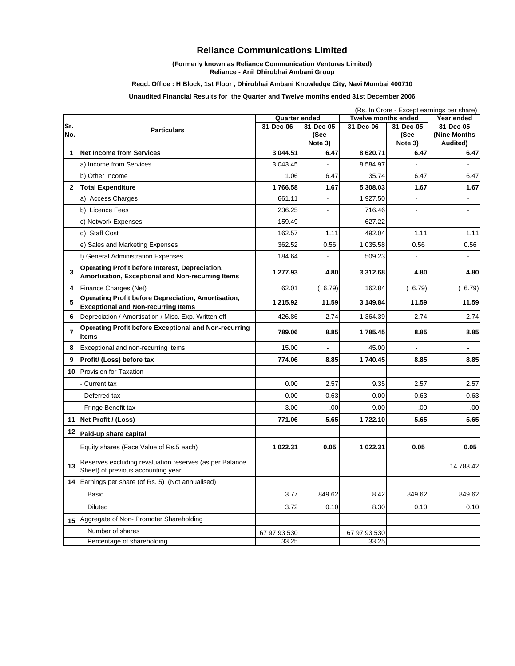# **Reliance Communications Limited**

### **(Formerly known as Reliance Communication Ventures Limited) Reliance - Anil Dhirubhai Ambani Group**

## **Regd. Office : H Block, 1st Floor , Dhirubhai Ambani Knowledge City, Navi Mumbai 400710**

## **Unaudited Financial Results for the Quarter and Twelve months ended 31st December 2006**

|                |                                                                                                             | (Rs. In Crore - Except earnings per share) |                   |                            |                   |                           |  |
|----------------|-------------------------------------------------------------------------------------------------------------|--------------------------------------------|-------------------|----------------------------|-------------------|---------------------------|--|
|                |                                                                                                             | Quarter ended                              |                   | <b>Twelve months ended</b> |                   | Year ended                |  |
| Sr.<br>No.     | <b>Particulars</b>                                                                                          | 31-Dec-06                                  | 31-Dec-05<br>(See | 31-Dec-06                  | 31-Dec-05<br>(See | 31-Dec-05<br>(Nine Months |  |
|                |                                                                                                             |                                            | Note 3)           |                            | Note 3)           | Audited)                  |  |
| 1              | <b>Net Income from Services</b>                                                                             | 3 044.51                                   | 6.47              | 8 620.71                   | 6.47              | 6.47                      |  |
|                | a) Income from Services                                                                                     | 3 043.45                                   |                   | 8 5 8 4 . 9 7              |                   |                           |  |
|                | b) Other Income                                                                                             | 1.06                                       | 6.47              | 35.74                      | 6.47              | 6.47                      |  |
| $\mathbf{2}$   | <b>Total Expenditure</b>                                                                                    | 1766.58                                    | 1.67              | 5 308.03                   | 1.67              | 1.67                      |  |
|                | a) Access Charges                                                                                           | 661.11                                     |                   | 1 927.50                   |                   | $\overline{\phantom{a}}$  |  |
|                | b) Licence Fees                                                                                             | 236.25                                     | $\blacksquare$    | 716.46                     | $\blacksquare$    | $\blacksquare$            |  |
|                | c) Network Expenses                                                                                         | 159.49                                     | $\overline{a}$    | 627.22                     | $\blacksquare$    | $\blacksquare$            |  |
|                | d) Staff Cost                                                                                               | 162.57                                     | 1.11              | 492.04                     | 1.11              | 1.11                      |  |
|                | e) Sales and Marketing Expenses                                                                             | 362.52                                     | 0.56              | 1 035.58                   | 0.56              | 0.56                      |  |
|                | f) General Administration Expenses                                                                          | 184.64                                     | $\overline{a}$    | 509.23                     | $\blacksquare$    | $\blacksquare$            |  |
| 3              | <b>Operating Profit before Interest, Depreciation,</b><br>Amortisation, Exceptional and Non-recurring Items | 1 277.93                                   | 4.80              | 3 312.68                   | 4.80              | 4.80                      |  |
| 4              | Finance Charges (Net)                                                                                       | 62.01                                      | (6.79)            | 162.84                     | (6.79)            | (6.79)                    |  |
| 5              | <b>Operating Profit before Depreciation, Amortisation,</b><br><b>Exceptional and Non-recurring Items</b>    | 1 215.92                                   | 11.59             | 3 149.84                   | 11.59             | 11.59                     |  |
| 6              | Depreciation / Amortisation / Misc. Exp. Written off                                                        | 426.86                                     | 2.74              | 1 364.39                   | 2.74              | 2.74                      |  |
| $\overline{7}$ | <b>Operating Profit before Exceptional and Non-recurring</b><br><b>Items</b>                                | 789.06                                     | 8.85              | 1785.45                    | 8.85              | 8.85                      |  |
| 8              | Exceptional and non-recurring items                                                                         | 15.00                                      |                   | 45.00                      |                   |                           |  |
| 9              | Profit/ (Loss) before tax                                                                                   | 774.06                                     | 8.85              | 1740.45                    | 8.85              | 8.85                      |  |
| 10             | <b>Provision for Taxation</b>                                                                               |                                            |                   |                            |                   |                           |  |
|                | <b>Current tax</b>                                                                                          | 0.00                                       | 2.57              | 9.35                       | 2.57              | 2.57                      |  |
|                | Deferred tax                                                                                                | 0.00                                       | 0.63              | 0.00                       | 0.63              | 0.63                      |  |
|                | - Fringe Benefit tax                                                                                        | 3.00                                       | .00               | 9.00                       | .00               | .00                       |  |
| 11             | Net Profit / (Loss)                                                                                         | 771.06                                     | 5.65              | 1722.10                    | 5.65              | 5.65                      |  |
| 12             | Paid-up share capital                                                                                       |                                            |                   |                            |                   |                           |  |
|                | Equity shares (Face Value of Rs.5 each)                                                                     | 1 022.31                                   | 0.05              | 1 022.31                   | 0.05              | 0.05                      |  |
| 13             | Reserves excluding revaluation reserves (as per Balance<br>Sheet) of previous accounting year               |                                            |                   |                            |                   | 14 783.42                 |  |
|                | 14 Earnings per share (of Rs. 5) (Not annualised)                                                           |                                            |                   |                            |                   |                           |  |
|                | Basic                                                                                                       | 3.77                                       | 849.62            | 8.42                       | 849.62            | 849.62                    |  |
|                | <b>Diluted</b>                                                                                              | 3.72                                       | 0.10              | 8.30                       | 0.10              | 0.10                      |  |
| 15             | Aggregate of Non-Promoter Shareholding                                                                      |                                            |                   |                            |                   |                           |  |
|                | Number of shares                                                                                            | 67 97 93 530                               |                   | 67 97 93 530               |                   |                           |  |
|                | Percentage of shareholding                                                                                  | 33.25                                      |                   | 33.25                      |                   |                           |  |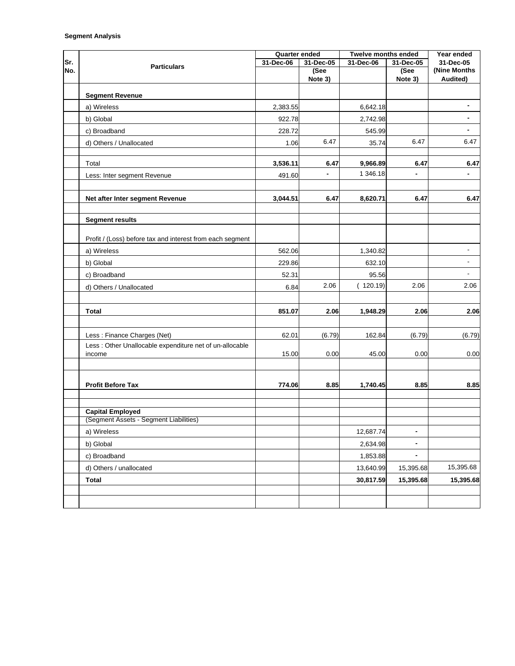| Sr.<br>No. | <b>Particulars</b>                                                 | Quarter ended |                 | Twelve months ended |                          | Year ended               |
|------------|--------------------------------------------------------------------|---------------|-----------------|---------------------|--------------------------|--------------------------|
|            |                                                                    | 31-Dec-06     | 31-Dec-05       | 31-Dec-06           | 31-Dec-05                | 31-Dec-05                |
|            |                                                                    |               | (See<br>Note 3) |                     | (See<br>Note 3)          | (Nine Months<br>Audited) |
|            |                                                                    |               |                 |                     |                          |                          |
|            | <b>Segment Revenue</b>                                             |               |                 |                     |                          |                          |
|            | a) Wireless                                                        | 2,383.55      |                 | 6,642.18            |                          |                          |
|            | b) Global                                                          | 922.78        |                 | 2,742.98            |                          |                          |
|            | c) Broadband                                                       | 228.72        |                 | 545.99              |                          |                          |
|            | d) Others / Unallocated                                            | 1.06          | 6.47            | 35.74               | 6.47                     | 6.47                     |
|            | Total                                                              | 3,536.11      | 6.47            | 9,966.89            | 6.47                     | 6.47                     |
|            | Less: Inter segment Revenue                                        | 491.60        | $\blacksquare$  | 1 346.18            | $\overline{\phantom{0}}$ | $\overline{a}$           |
|            |                                                                    |               |                 |                     |                          |                          |
|            | Net after Inter segment Revenue                                    | 3,044.51      | 6.47            | 8,620.71            | 6.47                     | 6.47                     |
|            | <b>Segment results</b>                                             |               |                 |                     |                          |                          |
|            | Profit / (Loss) before tax and interest from each segment          |               |                 |                     |                          |                          |
|            | a) Wireless                                                        | 562.06        |                 | 1,340.82            |                          | $\overline{\phantom{a}}$ |
|            | b) Global                                                          | 229.86        |                 | 632.10              |                          |                          |
|            | c) Broadband                                                       | 52.31         |                 | 95.56               |                          | ÷,                       |
|            | d) Others / Unallocated                                            | 6.84          | 2.06            | (120.19)            | 2.06                     | 2.06                     |
|            |                                                                    |               |                 |                     |                          |                          |
|            | <b>Total</b>                                                       | 851.07        | 2.06            | 1,948.29            | 2.06                     | 2.06                     |
|            |                                                                    |               |                 |                     |                          |                          |
|            | Less : Finance Charges (Net)                                       | 62.01         | (6.79)          | 162.84              | (6.79)                   | (6.79)                   |
|            | Less : Other Unallocable expenditure net of un-allocable<br>income | 15.00         | 0.00            | 45.00               | 0.00                     | 0.00                     |
|            |                                                                    |               |                 |                     |                          |                          |
|            | <b>Profit Before Tax</b>                                           | 774.06        | 8.85            | 1,740.45            | 8.85                     | 8.85                     |
|            |                                                                    |               |                 |                     |                          |                          |
|            | <b>Capital Employed</b>                                            |               |                 |                     |                          |                          |
|            | (Segment Assets - Segment Liabilities)                             |               |                 |                     |                          |                          |
|            | a) Wireless                                                        |               |                 | 12,687.74           | $\overline{\phantom{a}}$ |                          |
|            | b) Global                                                          |               |                 | 2,634.98            | -                        |                          |
|            | c) Broadband                                                       |               |                 | 1,853.88            | $\blacksquare$           |                          |
|            | d) Others / unallocated                                            |               |                 | 13,640.99           | 15,395.68                | 15,395.68                |
|            | <b>Total</b>                                                       |               |                 | 30,817.59           | 15,395.68                | 15,395.68                |
|            |                                                                    |               |                 |                     |                          |                          |
|            |                                                                    |               |                 |                     |                          |                          |